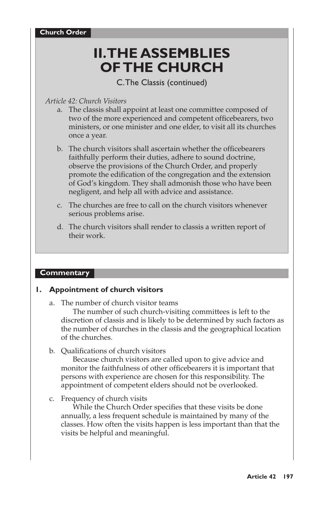# **II. THE ASSEMBLIES OF THE CHURCH**

C. The Classis (continued)

### *Article 42: Church Visitors*

- a. The classis shall appoint at least one committee composed of two of the more experienced and competent officebearers, two ministers, or one minister and one elder, to visit all its churches once a year.
- b. The church visitors shall ascertain whether the officebearers faithfully perform their duties, adhere to sound doctrine, observe the provisions of the Church Order, and properly promote the edification of the congregation and the extension of God's kingdom. They shall admonish those who have been negligent, and help all with advice and assistance.
- c. The churches are free to call on the church visitors whenever serious problems arise.
- d. The church visitors shall render to classis a written report of their work.

#### **Commentary**

#### **1. Appointment of church visitors**

a. The number of church visitor teams

The number of such church-visiting committees is left to the discretion of classis and is likely to be determined by such factors as the number of churches in the classis and the geographical location of the churches.

b. Qualifications of church visitors

Because church visitors are called upon to give advice and monitor the faithfulness of other officebearers it is important that persons with experience are chosen for this responsibility. The appointment of competent elders should not be overlooked.

#### c. Frequency of church visits

While the Church Order specifies that these visits be done annually, a less frequent schedule is maintained by many of the classes. How often the visits happen is less important than that the visits be helpful and meaningful.